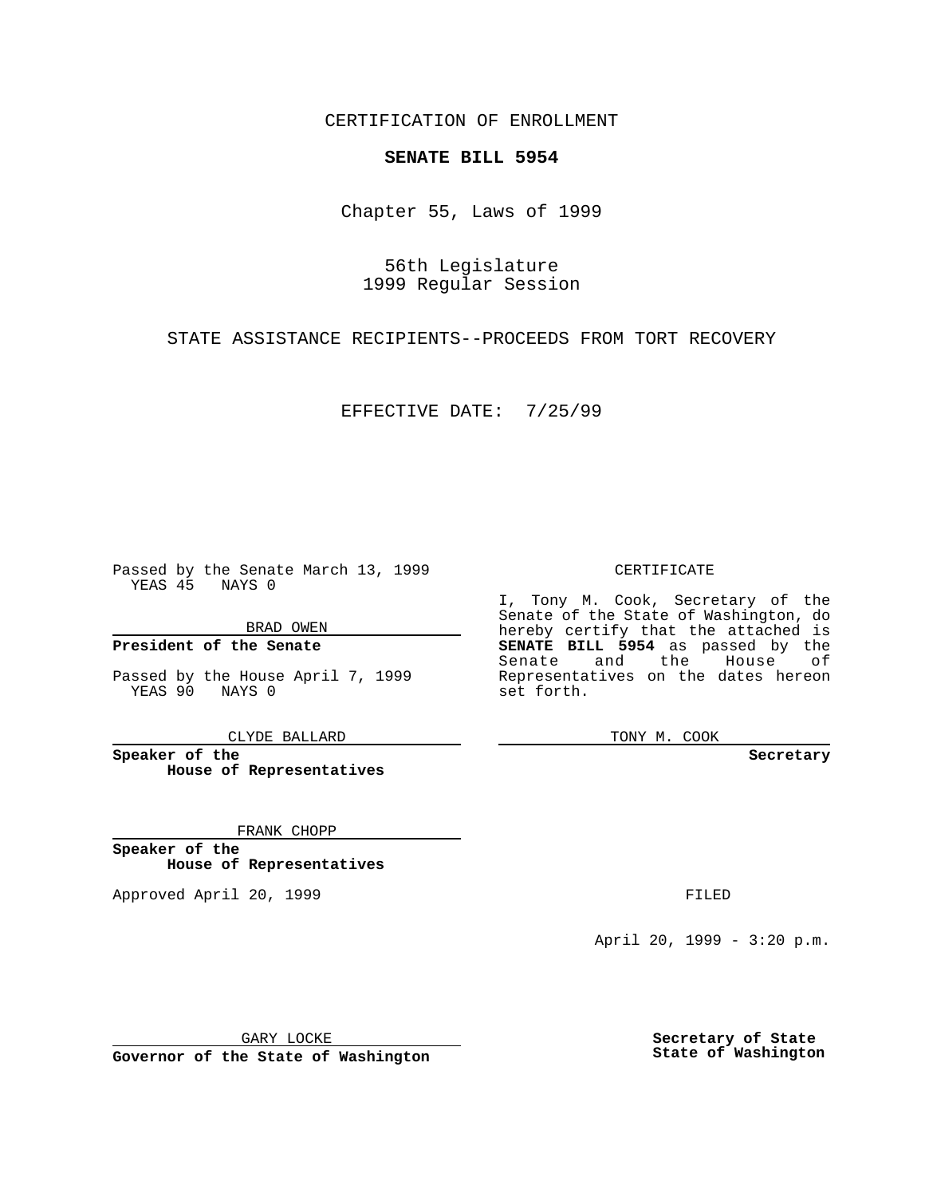CERTIFICATION OF ENROLLMENT

# **SENATE BILL 5954**

Chapter 55, Laws of 1999

56th Legislature 1999 Regular Session

STATE ASSISTANCE RECIPIENTS--PROCEEDS FROM TORT RECOVERY

EFFECTIVE DATE: 7/25/99

Passed by the Senate March 13, 1999 YEAS 45 NAYS 0

BRAD OWEN

**President of the Senate**

Passed by the House April 7, 1999 YEAS 90 NAYS 0

CLYDE BALLARD

**Speaker of the House of Representatives**

FRANK CHOPP

**Speaker of the House of Representatives**

Approved April 20, 1999 **FILED** 

## CERTIFICATE

I, Tony M. Cook, Secretary of the Senate of the State of Washington, do hereby certify that the attached is **SENATE BILL 5954** as passed by the Senate and the House of Representatives on the dates hereon set forth.

TONY M. COOK

#### **Secretary**

April 20, 1999 - 3:20 p.m.

GARY LOCKE

**Governor of the State of Washington**

**Secretary of State State of Washington**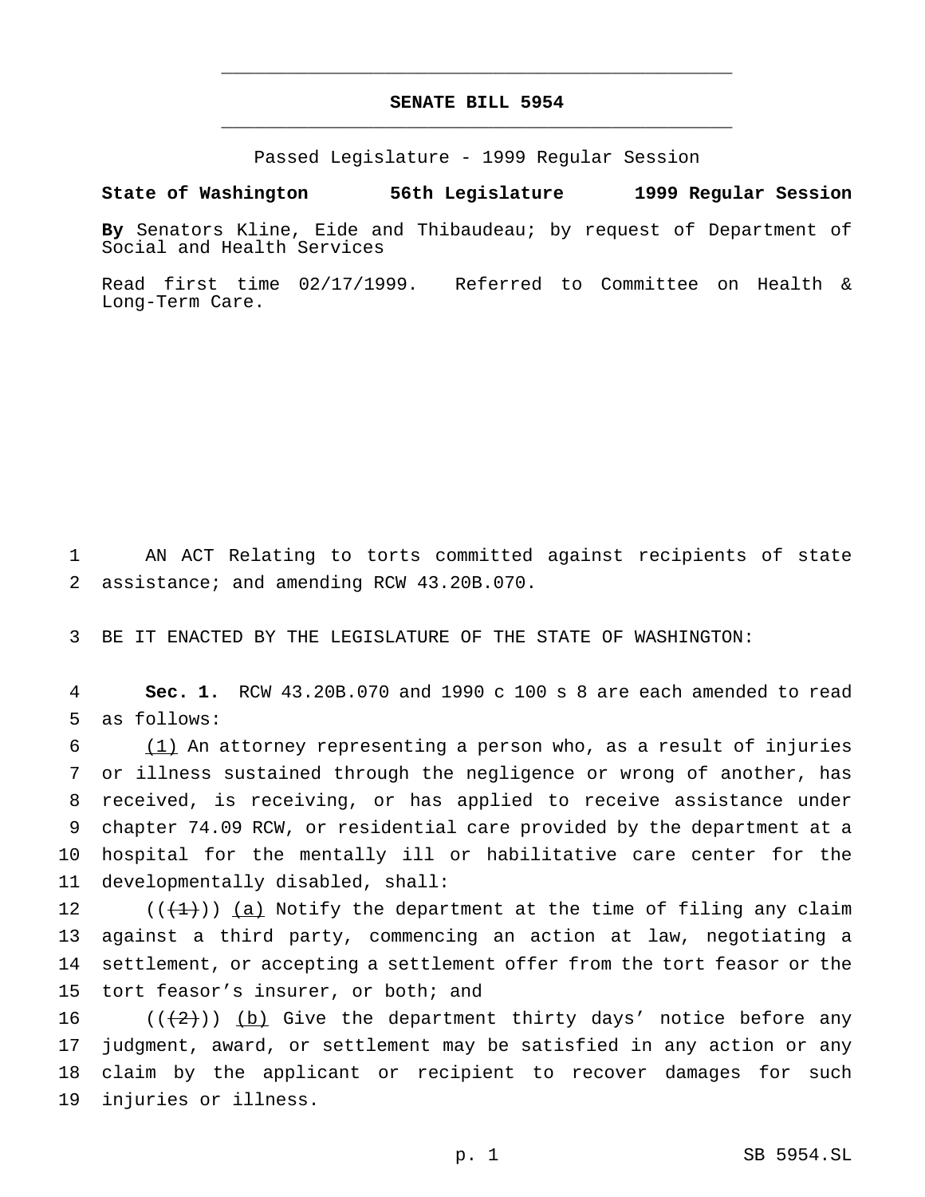## **SENATE BILL 5954** \_\_\_\_\_\_\_\_\_\_\_\_\_\_\_\_\_\_\_\_\_\_\_\_\_\_\_\_\_\_\_\_\_\_\_\_\_\_\_\_\_\_\_\_\_\_\_

\_\_\_\_\_\_\_\_\_\_\_\_\_\_\_\_\_\_\_\_\_\_\_\_\_\_\_\_\_\_\_\_\_\_\_\_\_\_\_\_\_\_\_\_\_\_\_

Passed Legislature - 1999 Regular Session

### **State of Washington 56th Legislature 1999 Regular Session**

**By** Senators Kline, Eide and Thibaudeau; by request of Department of Social and Health Services

Read first time 02/17/1999. Referred to Committee on Health & Long-Term Care.

 AN ACT Relating to torts committed against recipients of state assistance; and amending RCW 43.20B.070.

BE IT ENACTED BY THE LEGISLATURE OF THE STATE OF WASHINGTON:

 **Sec. 1.** RCW 43.20B.070 and 1990 c 100 s 8 are each amended to read as follows:

 (1) An attorney representing a person who, as a result of injuries or illness sustained through the negligence or wrong of another, has received, is receiving, or has applied to receive assistance under chapter 74.09 RCW, or residential care provided by the department at a hospital for the mentally ill or habilitative care center for the developmentally disabled, shall:

 $((\{1\})$   $(a)$  Notify the department at the time of filing any claim against a third party, commencing an action at law, negotiating a settlement, or accepting a settlement offer from the tort feasor or the tort feasor's insurer, or both; and

 $((2))$  (b) Give the department thirty days' notice before any judgment, award, or settlement may be satisfied in any action or any claim by the applicant or recipient to recover damages for such injuries or illness.